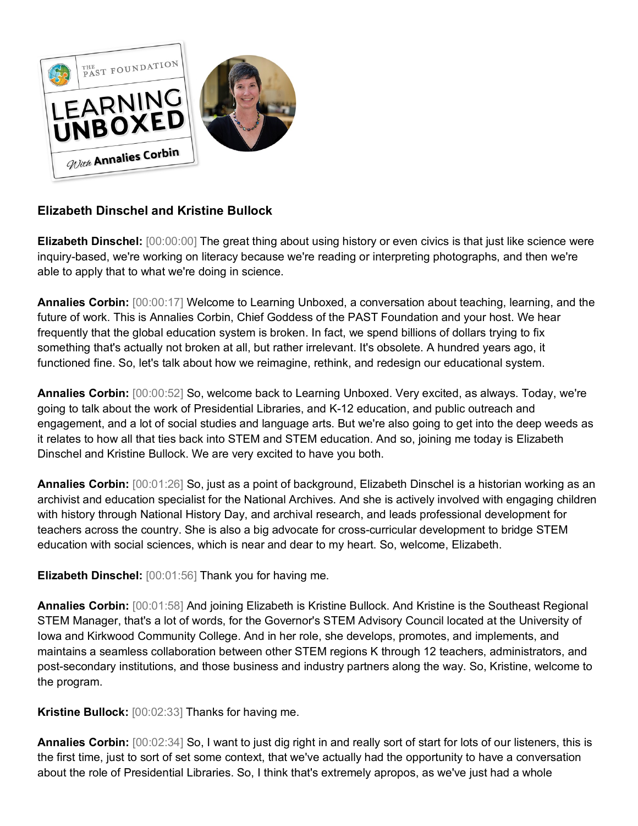

## **Elizabeth Dinschel and Kristine Bullock**

**Elizabeth Dinschel:** [00:00:00] The great thing about using history or even civics is that just like science were inquiry-based, we're working on literacy because we're reading or interpreting photographs, and then we're able to apply that to what we're doing in science.

**Annalies Corbin:** [00:00:17] Welcome to Learning Unboxed, a conversation about teaching, learning, and the future of work. This is Annalies Corbin, Chief Goddess of the PAST Foundation and your host. We hear frequently that the global education system is broken. In fact, we spend billions of dollars trying to fix something that's actually not broken at all, but rather irrelevant. It's obsolete. A hundred years ago, it functioned fine. So, let's talk about how we reimagine, rethink, and redesign our educational system.

**Annalies Corbin:** [00:00:52] So, welcome back to Learning Unboxed. Very excited, as always. Today, we're going to talk about the work of Presidential Libraries, and K-12 education, and public outreach and engagement, and a lot of social studies and language arts. But we're also going to get into the deep weeds as it relates to how all that ties back into STEM and STEM education. And so, joining me today is Elizabeth Dinschel and Kristine Bullock. We are very excited to have you both.

**Annalies Corbin:** [00:01:26] So, just as a point of background, Elizabeth Dinschel is a historian working as an archivist and education specialist for the National Archives. And she is actively involved with engaging children with history through National History Day, and archival research, and leads professional development for teachers across the country. She is also a big advocate for cross-curricular development to bridge STEM education with social sciences, which is near and dear to my heart. So, welcome, Elizabeth.

**Elizabeth Dinschel:** [00:01:56] Thank you for having me.

**Annalies Corbin:** [00:01:58] And joining Elizabeth is Kristine Bullock. And Kristine is the Southeast Regional STEM Manager, that's a lot of words, for the Governor's STEM Advisory Council located at the University of Iowa and Kirkwood Community College. And in her role, she develops, promotes, and implements, and maintains a seamless collaboration between other STEM regions K through 12 teachers, administrators, and post-secondary institutions, and those business and industry partners along the way. So, Kristine, welcome to the program.

**Kristine Bullock:** [00:02:33] Thanks for having me.

**Annalies Corbin:** [00:02:34] So, I want to just dig right in and really sort of start for lots of our listeners, this is the first time, just to sort of set some context, that we've actually had the opportunity to have a conversation about the role of Presidential Libraries. So, I think that's extremely apropos, as we've just had a whole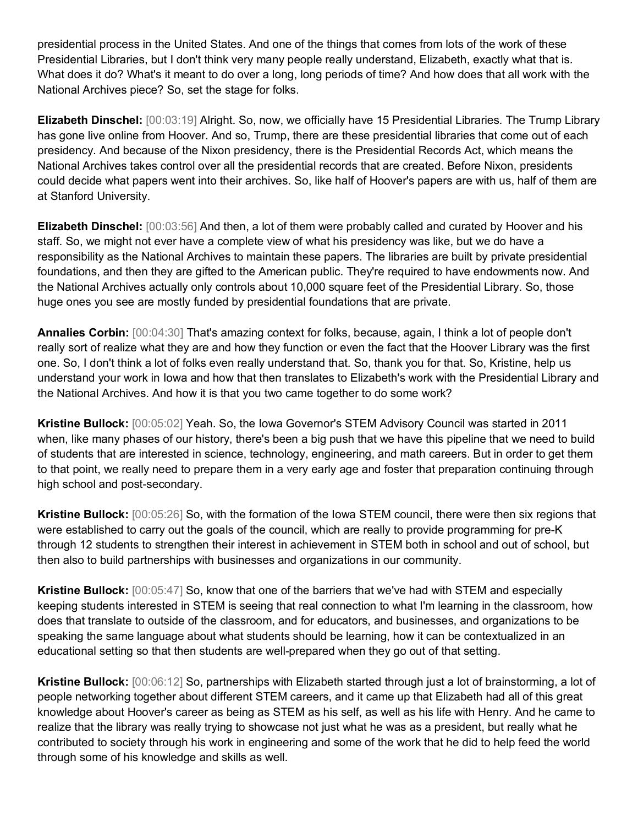presidential process in the United States. And one of the things that comes from lots of the work of these Presidential Libraries, but I don't think very many people really understand, Elizabeth, exactly what that is. What does it do? What's it meant to do over a long, long periods of time? And how does that all work with the National Archives piece? So, set the stage for folks.

**Elizabeth Dinschel:** [00:03:19] Alright. So, now, we officially have 15 Presidential Libraries. The Trump Library has gone live online from Hoover. And so, Trump, there are these presidential libraries that come out of each presidency. And because of the Nixon presidency, there is the Presidential Records Act, which means the National Archives takes control over all the presidential records that are created. Before Nixon, presidents could decide what papers went into their archives. So, like half of Hoover's papers are with us, half of them are at Stanford University.

**Elizabeth Dinschel:** [00:03:56] And then, a lot of them were probably called and curated by Hoover and his staff. So, we might not ever have a complete view of what his presidency was like, but we do have a responsibility as the National Archives to maintain these papers. The libraries are built by private presidential foundations, and then they are gifted to the American public. They're required to have endowments now. And the National Archives actually only controls about 10,000 square feet of the Presidential Library. So, those huge ones you see are mostly funded by presidential foundations that are private.

**Annalies Corbin:** [00:04:30] That's amazing context for folks, because, again, I think a lot of people don't really sort of realize what they are and how they function or even the fact that the Hoover Library was the first one. So, I don't think a lot of folks even really understand that. So, thank you for that. So, Kristine, help us understand your work in Iowa and how that then translates to Elizabeth's work with the Presidential Library and the National Archives. And how it is that you two came together to do some work?

**Kristine Bullock:** [00:05:02] Yeah. So, the Iowa Governor's STEM Advisory Council was started in 2011 when, like many phases of our history, there's been a big push that we have this pipeline that we need to build of students that are interested in science, technology, engineering, and math careers. But in order to get them to that point, we really need to prepare them in a very early age and foster that preparation continuing through high school and post-secondary.

**Kristine Bullock:** [00:05:26] So, with the formation of the Iowa STEM council, there were then six regions that were established to carry out the goals of the council, which are really to provide programming for pre-K through 12 students to strengthen their interest in achievement in STEM both in school and out of school, but then also to build partnerships with businesses and organizations in our community.

**Kristine Bullock:** [00:05:47] So, know that one of the barriers that we've had with STEM and especially keeping students interested in STEM is seeing that real connection to what I'm learning in the classroom, how does that translate to outside of the classroom, and for educators, and businesses, and organizations to be speaking the same language about what students should be learning, how it can be contextualized in an educational setting so that then students are well-prepared when they go out of that setting.

**Kristine Bullock:** [00:06:12] So, partnerships with Elizabeth started through just a lot of brainstorming, a lot of people networking together about different STEM careers, and it came up that Elizabeth had all of this great knowledge about Hoover's career as being as STEM as his self, as well as his life with Henry. And he came to realize that the library was really trying to showcase not just what he was as a president, but really what he contributed to society through his work in engineering and some of the work that he did to help feed the world through some of his knowledge and skills as well.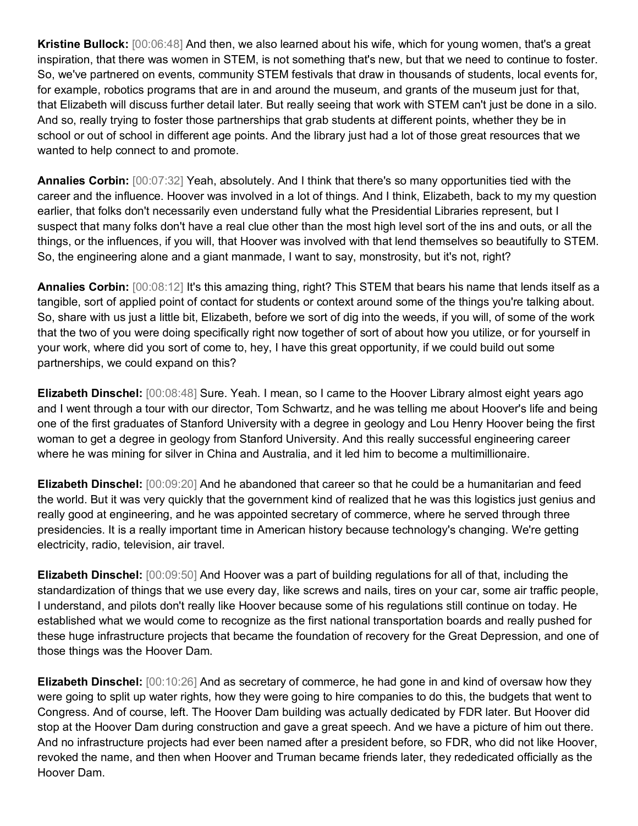**Kristine Bullock:** [00:06:48] And then, we also learned about his wife, which for young women, that's a great inspiration, that there was women in STEM, is not something that's new, but that we need to continue to foster. So, we've partnered on events, community STEM festivals that draw in thousands of students, local events for, for example, robotics programs that are in and around the museum, and grants of the museum just for that, that Elizabeth will discuss further detail later. But really seeing that work with STEM can't just be done in a silo. And so, really trying to foster those partnerships that grab students at different points, whether they be in school or out of school in different age points. And the library just had a lot of those great resources that we wanted to help connect to and promote.

**Annalies Corbin:** [00:07:32] Yeah, absolutely. And I think that there's so many opportunities tied with the career and the influence. Hoover was involved in a lot of things. And I think, Elizabeth, back to my my question earlier, that folks don't necessarily even understand fully what the Presidential Libraries represent, but I suspect that many folks don't have a real clue other than the most high level sort of the ins and outs, or all the things, or the influences, if you will, that Hoover was involved with that lend themselves so beautifully to STEM. So, the engineering alone and a giant manmade, I want to say, monstrosity, but it's not, right?

**Annalies Corbin:** [00:08:12] It's this amazing thing, right? This STEM that bears his name that lends itself as a tangible, sort of applied point of contact for students or context around some of the things you're talking about. So, share with us just a little bit, Elizabeth, before we sort of dig into the weeds, if you will, of some of the work that the two of you were doing specifically right now together of sort of about how you utilize, or for yourself in your work, where did you sort of come to, hey, I have this great opportunity, if we could build out some partnerships, we could expand on this?

**Elizabeth Dinschel:** [00:08:48] Sure. Yeah. I mean, so I came to the Hoover Library almost eight years ago and I went through a tour with our director, Tom Schwartz, and he was telling me about Hoover's life and being one of the first graduates of Stanford University with a degree in geology and Lou Henry Hoover being the first woman to get a degree in geology from Stanford University. And this really successful engineering career where he was mining for silver in China and Australia, and it led him to become a multimillionaire.

**Elizabeth Dinschel:** [00:09:20] And he abandoned that career so that he could be a humanitarian and feed the world. But it was very quickly that the government kind of realized that he was this logistics just genius and really good at engineering, and he was appointed secretary of commerce, where he served through three presidencies. It is a really important time in American history because technology's changing. We're getting electricity, radio, television, air travel.

**Elizabeth Dinschel:** [00:09:50] And Hoover was a part of building regulations for all of that, including the standardization of things that we use every day, like screws and nails, tires on your car, some air traffic people, I understand, and pilots don't really like Hoover because some of his regulations still continue on today. He established what we would come to recognize as the first national transportation boards and really pushed for these huge infrastructure projects that became the foundation of recovery for the Great Depression, and one of those things was the Hoover Dam.

**Elizabeth Dinschel:** [00:10:26] And as secretary of commerce, he had gone in and kind of oversaw how they were going to split up water rights, how they were going to hire companies to do this, the budgets that went to Congress. And of course, left. The Hoover Dam building was actually dedicated by FDR later. But Hoover did stop at the Hoover Dam during construction and gave a great speech. And we have a picture of him out there. And no infrastructure projects had ever been named after a president before, so FDR, who did not like Hoover, revoked the name, and then when Hoover and Truman became friends later, they rededicated officially as the Hoover Dam.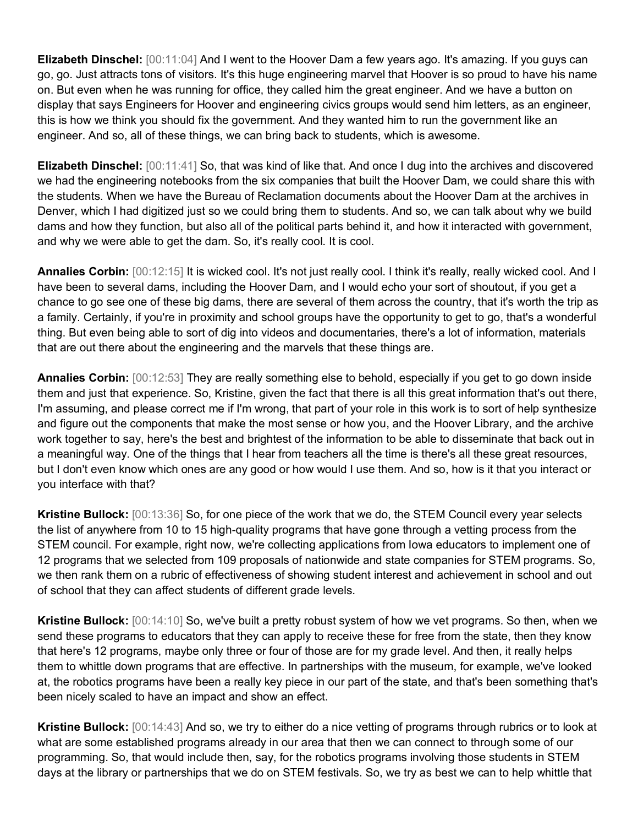**Elizabeth Dinschel:** [00:11:04] And I went to the Hoover Dam a few years ago. It's amazing. If you guys can go, go. Just attracts tons of visitors. It's this huge engineering marvel that Hoover is so proud to have his name on. But even when he was running for office, they called him the great engineer. And we have a button on display that says Engineers for Hoover and engineering civics groups would send him letters, as an engineer, this is how we think you should fix the government. And they wanted him to run the government like an engineer. And so, all of these things, we can bring back to students, which is awesome.

**Elizabeth Dinschel:** [00:11:41] So, that was kind of like that. And once I dug into the archives and discovered we had the engineering notebooks from the six companies that built the Hoover Dam, we could share this with the students. When we have the Bureau of Reclamation documents about the Hoover Dam at the archives in Denver, which I had digitized just so we could bring them to students. And so, we can talk about why we build dams and how they function, but also all of the political parts behind it, and how it interacted with government, and why we were able to get the dam. So, it's really cool. It is cool.

**Annalies Corbin:** [00:12:15] It is wicked cool. It's not just really cool. I think it's really, really wicked cool. And I have been to several dams, including the Hoover Dam, and I would echo your sort of shoutout, if you get a chance to go see one of these big dams, there are several of them across the country, that it's worth the trip as a family. Certainly, if you're in proximity and school groups have the opportunity to get to go, that's a wonderful thing. But even being able to sort of dig into videos and documentaries, there's a lot of information, materials that are out there about the engineering and the marvels that these things are.

**Annalies Corbin:** [00:12:53] They are really something else to behold, especially if you get to go down inside them and just that experience. So, Kristine, given the fact that there is all this great information that's out there, I'm assuming, and please correct me if I'm wrong, that part of your role in this work is to sort of help synthesize and figure out the components that make the most sense or how you, and the Hoover Library, and the archive work together to say, here's the best and brightest of the information to be able to disseminate that back out in a meaningful way. One of the things that I hear from teachers all the time is there's all these great resources, but I don't even know which ones are any good or how would I use them. And so, how is it that you interact or you interface with that?

**Kristine Bullock:** [00:13:36] So, for one piece of the work that we do, the STEM Council every year selects the list of anywhere from 10 to 15 high-quality programs that have gone through a vetting process from the STEM council. For example, right now, we're collecting applications from Iowa educators to implement one of 12 programs that we selected from 109 proposals of nationwide and state companies for STEM programs. So, we then rank them on a rubric of effectiveness of showing student interest and achievement in school and out of school that they can affect students of different grade levels.

**Kristine Bullock:** [00:14:10] So, we've built a pretty robust system of how we vet programs. So then, when we send these programs to educators that they can apply to receive these for free from the state, then they know that here's 12 programs, maybe only three or four of those are for my grade level. And then, it really helps them to whittle down programs that are effective. In partnerships with the museum, for example, we've looked at, the robotics programs have been a really key piece in our part of the state, and that's been something that's been nicely scaled to have an impact and show an effect.

**Kristine Bullock:** [00:14:43] And so, we try to either do a nice vetting of programs through rubrics or to look at what are some established programs already in our area that then we can connect to through some of our programming. So, that would include then, say, for the robotics programs involving those students in STEM days at the library or partnerships that we do on STEM festivals. So, we try as best we can to help whittle that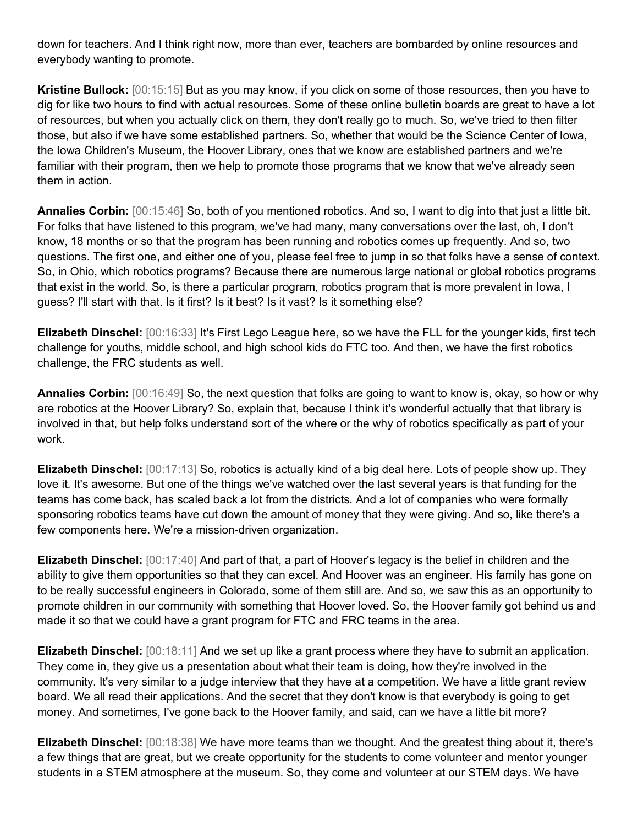down for teachers. And I think right now, more than ever, teachers are bombarded by online resources and everybody wanting to promote.

**Kristine Bullock:** [00:15:15] But as you may know, if you click on some of those resources, then you have to dig for like two hours to find with actual resources. Some of these online bulletin boards are great to have a lot of resources, but when you actually click on them, they don't really go to much. So, we've tried to then filter those, but also if we have some established partners. So, whether that would be the Science Center of Iowa, the Iowa Children's Museum, the Hoover Library, ones that we know are established partners and we're familiar with their program, then we help to promote those programs that we know that we've already seen them in action.

**Annalies Corbin:** [00:15:46] So, both of you mentioned robotics. And so, I want to dig into that just a little bit. For folks that have listened to this program, we've had many, many conversations over the last, oh, I don't know, 18 months or so that the program has been running and robotics comes up frequently. And so, two questions. The first one, and either one of you, please feel free to jump in so that folks have a sense of context. So, in Ohio, which robotics programs? Because there are numerous large national or global robotics programs that exist in the world. So, is there a particular program, robotics program that is more prevalent in Iowa, I guess? I'll start with that. Is it first? Is it best? Is it vast? Is it something else?

**Elizabeth Dinschel:** [00:16:33] It's First Lego League here, so we have the FLL for the younger kids, first tech challenge for youths, middle school, and high school kids do FTC too. And then, we have the first robotics challenge, the FRC students as well.

**Annalies Corbin:** [00:16:49] So, the next question that folks are going to want to know is, okay, so how or why are robotics at the Hoover Library? So, explain that, because I think it's wonderful actually that that library is involved in that, but help folks understand sort of the where or the why of robotics specifically as part of your work.

**Elizabeth Dinschel:** [00:17:13] So, robotics is actually kind of a big deal here. Lots of people show up. They love it. It's awesome. But one of the things we've watched over the last several years is that funding for the teams has come back, has scaled back a lot from the districts. And a lot of companies who were formally sponsoring robotics teams have cut down the amount of money that they were giving. And so, like there's a few components here. We're a mission-driven organization.

**Elizabeth Dinschel:** [00:17:40] And part of that, a part of Hoover's legacy is the belief in children and the ability to give them opportunities so that they can excel. And Hoover was an engineer. His family has gone on to be really successful engineers in Colorado, some of them still are. And so, we saw this as an opportunity to promote children in our community with something that Hoover loved. So, the Hoover family got behind us and made it so that we could have a grant program for FTC and FRC teams in the area.

**Elizabeth Dinschel:** [00:18:11] And we set up like a grant process where they have to submit an application. They come in, they give us a presentation about what their team is doing, how they're involved in the community. It's very similar to a judge interview that they have at a competition. We have a little grant review board. We all read their applications. And the secret that they don't know is that everybody is going to get money. And sometimes, I've gone back to the Hoover family, and said, can we have a little bit more?

**Elizabeth Dinschel:** [00:18:38] We have more teams than we thought. And the greatest thing about it, there's a few things that are great, but we create opportunity for the students to come volunteer and mentor younger students in a STEM atmosphere at the museum. So, they come and volunteer at our STEM days. We have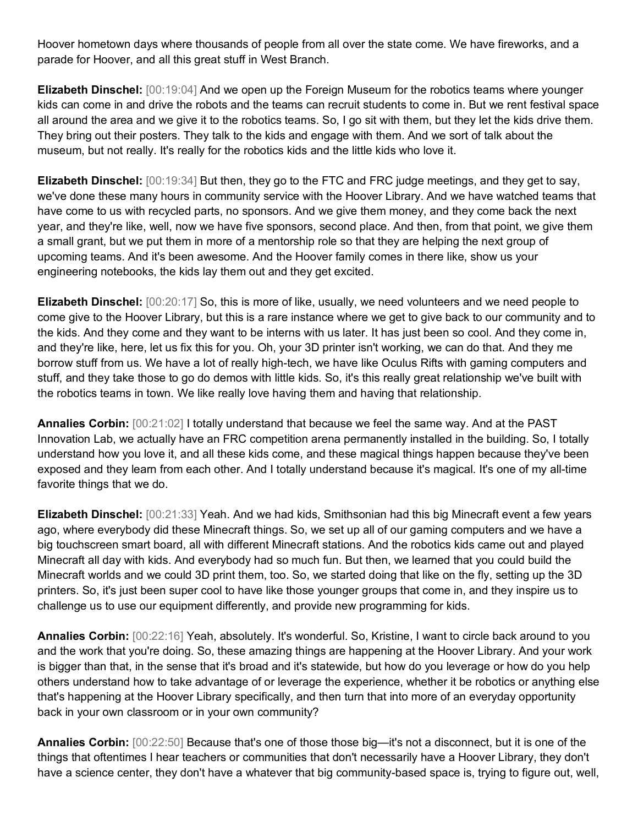Hoover hometown days where thousands of people from all over the state come. We have fireworks, and a parade for Hoover, and all this great stuff in West Branch.

**Elizabeth Dinschel:** [00:19:04] And we open up the Foreign Museum for the robotics teams where younger kids can come in and drive the robots and the teams can recruit students to come in. But we rent festival space all around the area and we give it to the robotics teams. So, I go sit with them, but they let the kids drive them. They bring out their posters. They talk to the kids and engage with them. And we sort of talk about the museum, but not really. It's really for the robotics kids and the little kids who love it.

**Elizabeth Dinschel:** [00:19:34] But then, they go to the FTC and FRC judge meetings, and they get to say, we've done these many hours in community service with the Hoover Library. And we have watched teams that have come to us with recycled parts, no sponsors. And we give them money, and they come back the next year, and they're like, well, now we have five sponsors, second place. And then, from that point, we give them a small grant, but we put them in more of a mentorship role so that they are helping the next group of upcoming teams. And it's been awesome. And the Hoover family comes in there like, show us your engineering notebooks, the kids lay them out and they get excited.

**Elizabeth Dinschel:** [00:20:17] So, this is more of like, usually, we need volunteers and we need people to come give to the Hoover Library, but this is a rare instance where we get to give back to our community and to the kids. And they come and they want to be interns with us later. It has just been so cool. And they come in, and they're like, here, let us fix this for you. Oh, your 3D printer isn't working, we can do that. And they me borrow stuff from us. We have a lot of really high-tech, we have like Oculus Rifts with gaming computers and stuff, and they take those to go do demos with little kids. So, it's this really great relationship we've built with the robotics teams in town. We like really love having them and having that relationship.

**Annalies Corbin:** [00:21:02] I totally understand that because we feel the same way. And at the PAST Innovation Lab, we actually have an FRC competition arena permanently installed in the building. So, I totally understand how you love it, and all these kids come, and these magical things happen because they've been exposed and they learn from each other. And I totally understand because it's magical. It's one of my all-time favorite things that we do.

**Elizabeth Dinschel:** [00:21:33] Yeah. And we had kids, Smithsonian had this big Minecraft event a few years ago, where everybody did these Minecraft things. So, we set up all of our gaming computers and we have a big touchscreen smart board, all with different Minecraft stations. And the robotics kids came out and played Minecraft all day with kids. And everybody had so much fun. But then, we learned that you could build the Minecraft worlds and we could 3D print them, too. So, we started doing that like on the fly, setting up the 3D printers. So, it's just been super cool to have like those younger groups that come in, and they inspire us to challenge us to use our equipment differently, and provide new programming for kids.

**Annalies Corbin:** [00:22:16] Yeah, absolutely. It's wonderful. So, Kristine, I want to circle back around to you and the work that you're doing. So, these amazing things are happening at the Hoover Library. And your work is bigger than that, in the sense that it's broad and it's statewide, but how do you leverage or how do you help others understand how to take advantage of or leverage the experience, whether it be robotics or anything else that's happening at the Hoover Library specifically, and then turn that into more of an everyday opportunity back in your own classroom or in your own community?

**Annalies Corbin:** [00:22:50] Because that's one of those those big—it's not a disconnect, but it is one of the things that oftentimes I hear teachers or communities that don't necessarily have a Hoover Library, they don't have a science center, they don't have a whatever that big community-based space is, trying to figure out, well,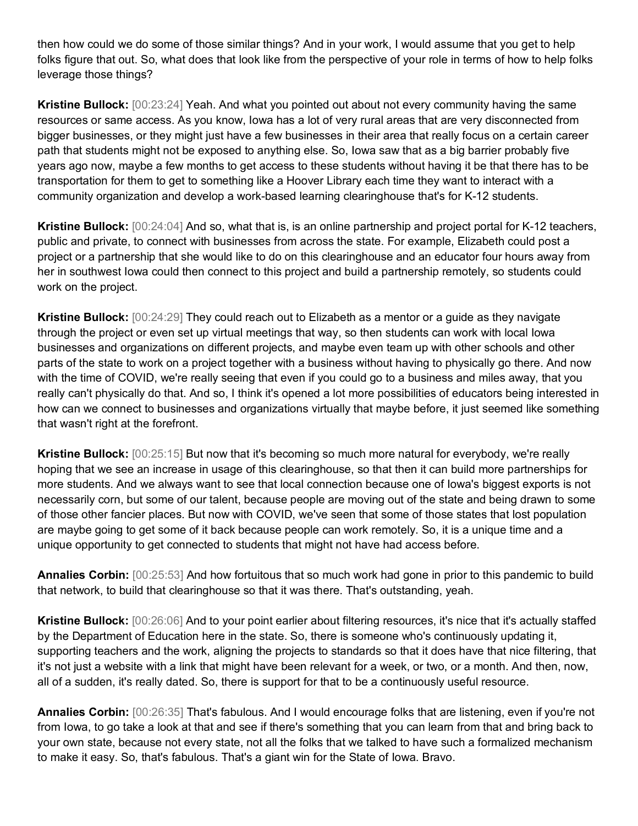then how could we do some of those similar things? And in your work, I would assume that you get to help folks figure that out. So, what does that look like from the perspective of your role in terms of how to help folks leverage those things?

**Kristine Bullock:** [00:23:24] Yeah. And what you pointed out about not every community having the same resources or same access. As you know, lowa has a lot of very rural areas that are very disconnected from bigger businesses, or they might just have a few businesses in their area that really focus on a certain career path that students might not be exposed to anything else. So, Iowa saw that as a big barrier probably five years ago now, maybe a few months to get access to these students without having it be that there has to be transportation for them to get to something like a Hoover Library each time they want to interact with a community organization and develop a work-based learning clearinghouse that's for K-12 students.

**Kristine Bullock:** [00:24:04] And so, what that is, is an online partnership and project portal for K-12 teachers, public and private, to connect with businesses from across the state. For example, Elizabeth could post a project or a partnership that she would like to do on this clearinghouse and an educator four hours away from her in southwest Iowa could then connect to this project and build a partnership remotely, so students could work on the project.

**Kristine Bullock:** [00:24:29] They could reach out to Elizabeth as a mentor or a guide as they navigate through the project or even set up virtual meetings that way, so then students can work with local Iowa businesses and organizations on different projects, and maybe even team up with other schools and other parts of the state to work on a project together with a business without having to physically go there. And now with the time of COVID, we're really seeing that even if you could go to a business and miles away, that you really can't physically do that. And so, I think it's opened a lot more possibilities of educators being interested in how can we connect to businesses and organizations virtually that maybe before, it just seemed like something that wasn't right at the forefront.

**Kristine Bullock:** [00:25:15] But now that it's becoming so much more natural for everybody, we're really hoping that we see an increase in usage of this clearinghouse, so that then it can build more partnerships for more students. And we always want to see that local connection because one of Iowa's biggest exports is not necessarily corn, but some of our talent, because people are moving out of the state and being drawn to some of those other fancier places. But now with COVID, we've seen that some of those states that lost population are maybe going to get some of it back because people can work remotely. So, it is a unique time and a unique opportunity to get connected to students that might not have had access before.

**Annalies Corbin:** [00:25:53] And how fortuitous that so much work had gone in prior to this pandemic to build that network, to build that clearinghouse so that it was there. That's outstanding, yeah.

**Kristine Bullock:** [00:26:06] And to your point earlier about filtering resources, it's nice that it's actually staffed by the Department of Education here in the state. So, there is someone who's continuously updating it, supporting teachers and the work, aligning the projects to standards so that it does have that nice filtering, that it's not just a website with a link that might have been relevant for a week, or two, or a month. And then, now, all of a sudden, it's really dated. So, there is support for that to be a continuously useful resource.

**Annalies Corbin:** [00:26:35] That's fabulous. And I would encourage folks that are listening, even if you're not from Iowa, to go take a look at that and see if there's something that you can learn from that and bring back to your own state, because not every state, not all the folks that we talked to have such a formalized mechanism to make it easy. So, that's fabulous. That's a giant win for the State of Iowa. Bravo.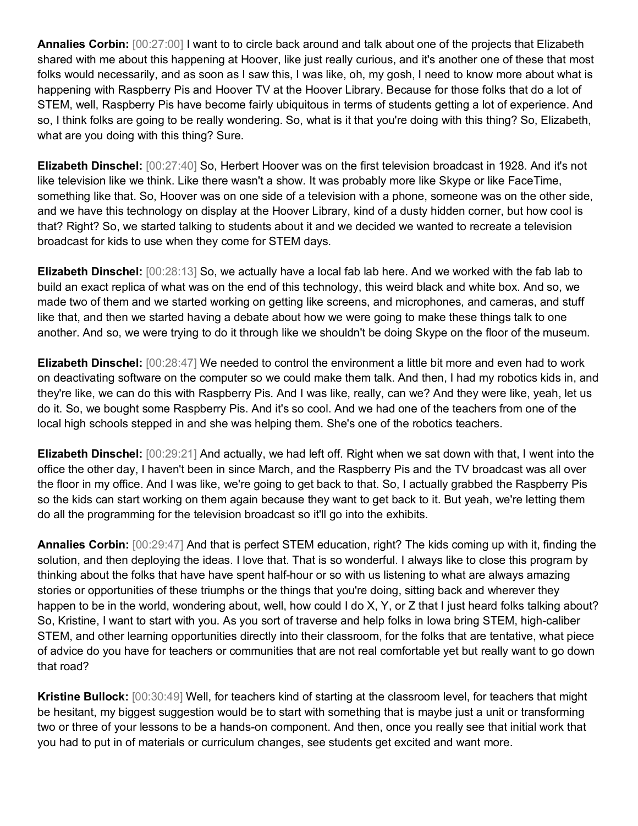**Annalies Corbin:** [00:27:00] I want to to circle back around and talk about one of the projects that Elizabeth shared with me about this happening at Hoover, like just really curious, and it's another one of these that most folks would necessarily, and as soon as I saw this, I was like, oh, my gosh, I need to know more about what is happening with Raspberry Pis and Hoover TV at the Hoover Library. Because for those folks that do a lot of STEM, well, Raspberry Pis have become fairly ubiquitous in terms of students getting a lot of experience. And so, I think folks are going to be really wondering. So, what is it that you're doing with this thing? So, Elizabeth, what are you doing with this thing? Sure.

**Elizabeth Dinschel:** [00:27:40] So, Herbert Hoover was on the first television broadcast in 1928. And it's not like television like we think. Like there wasn't a show. It was probably more like Skype or like FaceTime, something like that. So, Hoover was on one side of a television with a phone, someone was on the other side, and we have this technology on display at the Hoover Library, kind of a dusty hidden corner, but how cool is that? Right? So, we started talking to students about it and we decided we wanted to recreate a television broadcast for kids to use when they come for STEM days.

**Elizabeth Dinschel:** [00:28:13] So, we actually have a local fab lab here. And we worked with the fab lab to build an exact replica of what was on the end of this technology, this weird black and white box. And so, we made two of them and we started working on getting like screens, and microphones, and cameras, and stuff like that, and then we started having a debate about how we were going to make these things talk to one another. And so, we were trying to do it through like we shouldn't be doing Skype on the floor of the museum.

**Elizabeth Dinschel:** [00:28:47] We needed to control the environment a little bit more and even had to work on deactivating software on the computer so we could make them talk. And then, I had my robotics kids in, and they're like, we can do this with Raspberry Pis. And I was like, really, can we? And they were like, yeah, let us do it. So, we bought some Raspberry Pis. And it's so cool. And we had one of the teachers from one of the local high schools stepped in and she was helping them. She's one of the robotics teachers.

**Elizabeth Dinschel:** [00:29:21] And actually, we had left off. Right when we sat down with that, I went into the office the other day, I haven't been in since March, and the Raspberry Pis and the TV broadcast was all over the floor in my office. And I was like, we're going to get back to that. So, I actually grabbed the Raspberry Pis so the kids can start working on them again because they want to get back to it. But yeah, we're letting them do all the programming for the television broadcast so it'll go into the exhibits.

**Annalies Corbin:** [00:29:47] And that is perfect STEM education, right? The kids coming up with it, finding the solution, and then deploying the ideas. I love that. That is so wonderful. I always like to close this program by thinking about the folks that have have spent half-hour or so with us listening to what are always amazing stories or opportunities of these triumphs or the things that you're doing, sitting back and wherever they happen to be in the world, wondering about, well, how could I do X, Y, or Z that I just heard folks talking about? So, Kristine, I want to start with you. As you sort of traverse and help folks in Iowa bring STEM, high-caliber STEM, and other learning opportunities directly into their classroom, for the folks that are tentative, what piece of advice do you have for teachers or communities that are not real comfortable yet but really want to go down that road?

**Kristine Bullock:** [00:30:49] Well, for teachers kind of starting at the classroom level, for teachers that might be hesitant, my biggest suggestion would be to start with something that is maybe just a unit or transforming two or three of your lessons to be a hands-on component. And then, once you really see that initial work that you had to put in of materials or curriculum changes, see students get excited and want more.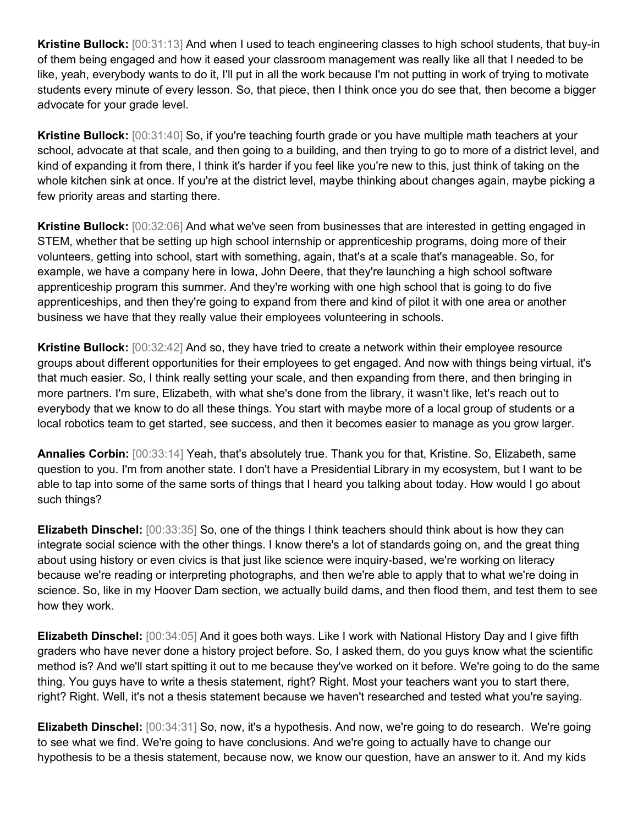**Kristine Bullock:** [00:31:13] And when I used to teach engineering classes to high school students, that buy-in of them being engaged and how it eased your classroom management was really like all that I needed to be like, yeah, everybody wants to do it, I'll put in all the work because I'm not putting in work of trying to motivate students every minute of every lesson. So, that piece, then I think once you do see that, then become a bigger advocate for your grade level.

**Kristine Bullock:** [00:31:40] So, if you're teaching fourth grade or you have multiple math teachers at your school, advocate at that scale, and then going to a building, and then trying to go to more of a district level, and kind of expanding it from there, I think it's harder if you feel like you're new to this, just think of taking on the whole kitchen sink at once. If you're at the district level, maybe thinking about changes again, maybe picking a few priority areas and starting there.

**Kristine Bullock:** [00:32:06] And what we've seen from businesses that are interested in getting engaged in STEM, whether that be setting up high school internship or apprenticeship programs, doing more of their volunteers, getting into school, start with something, again, that's at a scale that's manageable. So, for example, we have a company here in Iowa, John Deere, that they're launching a high school software apprenticeship program this summer. And they're working with one high school that is going to do five apprenticeships, and then they're going to expand from there and kind of pilot it with one area or another business we have that they really value their employees volunteering in schools.

**Kristine Bullock:** [00:32:42] And so, they have tried to create a network within their employee resource groups about different opportunities for their employees to get engaged. And now with things being virtual, it's that much easier. So, I think really setting your scale, and then expanding from there, and then bringing in more partners. I'm sure, Elizabeth, with what she's done from the library, it wasn't like, let's reach out to everybody that we know to do all these things. You start with maybe more of a local group of students or a local robotics team to get started, see success, and then it becomes easier to manage as you grow larger.

**Annalies Corbin:** [00:33:14] Yeah, that's absolutely true. Thank you for that, Kristine. So, Elizabeth, same question to you. I'm from another state. I don't have a Presidential Library in my ecosystem, but I want to be able to tap into some of the same sorts of things that I heard you talking about today. How would I go about such things?

**Elizabeth Dinschel:** [00:33:35] So, one of the things I think teachers should think about is how they can integrate social science with the other things. I know there's a lot of standards going on, and the great thing about using history or even civics is that just like science were inquiry-based, we're working on literacy because we're reading or interpreting photographs, and then we're able to apply that to what we're doing in science. So, like in my Hoover Dam section, we actually build dams, and then flood them, and test them to see how they work.

**Elizabeth Dinschel:** [00:34:05] And it goes both ways. Like I work with National History Day and I give fifth graders who have never done a history project before. So, I asked them, do you guys know what the scientific method is? And we'll start spitting it out to me because they've worked on it before. We're going to do the same thing. You guys have to write a thesis statement, right? Right. Most your teachers want you to start there, right? Right. Well, it's not a thesis statement because we haven't researched and tested what you're saying.

**Elizabeth Dinschel:** [00:34:31] So, now, it's a hypothesis. And now, we're going to do research. We're going to see what we find. We're going to have conclusions. And we're going to actually have to change our hypothesis to be a thesis statement, because now, we know our question, have an answer to it. And my kids